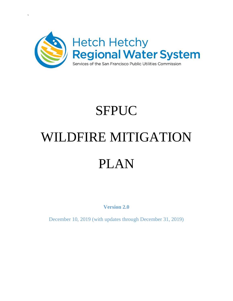

`

# SFPUC WILDFIRE MITIGATION PLAN

**Version 2.0**

December 10, 2019 (with updates through December 31, 2019)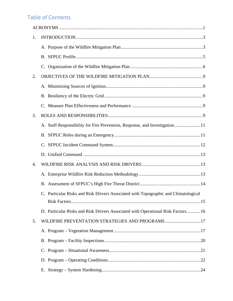# Table of Contents

| 1. |                                                                                     |
|----|-------------------------------------------------------------------------------------|
|    |                                                                                     |
|    |                                                                                     |
|    |                                                                                     |
| 2. |                                                                                     |
|    |                                                                                     |
|    |                                                                                     |
|    |                                                                                     |
| 3. |                                                                                     |
|    | A. Staff Responsibility for Fire Prevention, Response, and Investigation11          |
|    |                                                                                     |
|    |                                                                                     |
|    |                                                                                     |
|    |                                                                                     |
| 4. |                                                                                     |
|    |                                                                                     |
|    |                                                                                     |
|    | C. Particular Risks and Risk Drivers Associated with Topographic and Climatological |
|    |                                                                                     |
|    | D. Particular Risks and Risk Drivers Associated with Operational Risk Factors16     |
| 5. | WILDFIRE PREVENTATION STRATEGIES AND PROGRAMS17                                     |
|    |                                                                                     |
|    |                                                                                     |
|    |                                                                                     |
|    |                                                                                     |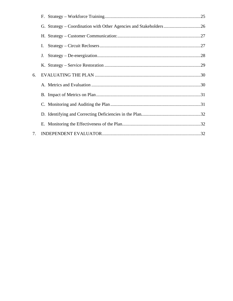|    | I. |  |
|----|----|--|
|    | J. |  |
|    |    |  |
| 6. |    |  |
|    |    |  |
|    |    |  |
|    |    |  |
|    |    |  |
|    |    |  |
| 7. |    |  |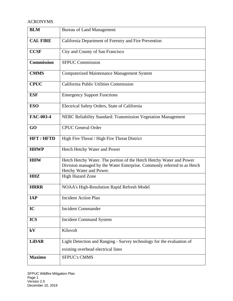# <span id="page-3-0"></span>ACRONYMS

| <b>BLM</b>                                                       | <b>Bureau of Land Management</b>                                                                                                                                          |  |  |  |
|------------------------------------------------------------------|---------------------------------------------------------------------------------------------------------------------------------------------------------------------------|--|--|--|
| <b>CAL FIRE</b>                                                  | California Department of Forestry and Fire Prevention                                                                                                                     |  |  |  |
| <b>CCSF</b>                                                      | City and County of San Francisco                                                                                                                                          |  |  |  |
| <b>Commission</b>                                                | <b>SFPUC Commission</b>                                                                                                                                                   |  |  |  |
| <b>CMMS</b><br><b>Computerized Maintenance Management System</b> |                                                                                                                                                                           |  |  |  |
| <b>CPUC</b>                                                      | California Public Utilities Commission                                                                                                                                    |  |  |  |
| <b>ESF</b>                                                       | <b>Emergency Support Functions</b>                                                                                                                                        |  |  |  |
| <b>ESO</b>                                                       | Electrical Safety Orders, State of California                                                                                                                             |  |  |  |
| <b>FAC-003-4</b>                                                 | NERC Reliability Standard: Transmission Vegetation Management                                                                                                             |  |  |  |
| GO                                                               | <b>CPUC</b> General Order                                                                                                                                                 |  |  |  |
| <b>HFT / HFTD</b>                                                | High Fire Threat / High Fire Threat District                                                                                                                              |  |  |  |
| <b>HHWP</b>                                                      | Hetch Hetchy Water and Power                                                                                                                                              |  |  |  |
| <b>HHW</b>                                                       | Hetch Hetchy Water. The portion of the Hetch Hetchy Water and Power<br>Division managed by the Water Enterprise. Commonly referred to as Hetch<br>Hetchy Water and Power. |  |  |  |
| <b>HHZ</b>                                                       | <b>High Hazard Zone</b>                                                                                                                                                   |  |  |  |
| <b>HRRR</b>                                                      | NOAA's High-Resolution Rapid Refresh Model                                                                                                                                |  |  |  |
| <b>IAP</b>                                                       | <b>Incident Action Plan</b>                                                                                                                                               |  |  |  |
| IC                                                               | <b>Incident Commander</b>                                                                                                                                                 |  |  |  |
| <b>ICS</b>                                                       | <b>Incident Command System</b>                                                                                                                                            |  |  |  |
| kV                                                               | Kilovolt                                                                                                                                                                  |  |  |  |
| <b>LiDAR</b>                                                     | Light Detection and Ranging - Survey technology for the evaluation of                                                                                                     |  |  |  |
|                                                                  | existing overhead electrical lines                                                                                                                                        |  |  |  |
| <b>Maximo</b>                                                    | <b>SFPUC's CMMS</b>                                                                                                                                                       |  |  |  |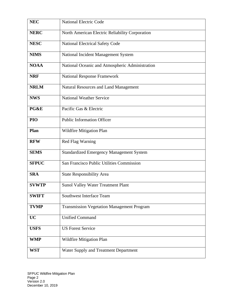| <b>NEC</b>   | <b>National Electric Code</b>                     |
|--------------|---------------------------------------------------|
| <b>NERC</b>  | North American Electric Reliability Corporation   |
| <b>NESC</b>  | National Electrical Safety Code                   |
| <b>NIMS</b>  | National Incident Management System               |
| <b>NOAA</b>  | National Oceanic and Atmospheric Administration   |
| <b>NRF</b>   | <b>National Response Framework</b>                |
| <b>NRLM</b>  | Natural Resources and Land Management             |
| <b>NWS</b>   | <b>National Weather Service</b>                   |
| PG&E         | Pacific Gas & Electric                            |
| PIO          | <b>Public Information Officer</b>                 |
| Plan         | Wildfire Mitigation Plan                          |
| <b>RFW</b>   | Red Flag Warning                                  |
| <b>SEMS</b>  | <b>Standardized Emergency Management System</b>   |
| <b>SFPUC</b> | San Francisco Public Utilities Commission         |
| <b>SRA</b>   | <b>State Responsibility Area</b>                  |
| <b>SVWTP</b> | <b>Sunol Valley Water Treatment Plant</b>         |
| <b>SWIFT</b> | <b>Southwest Interface Team</b>                   |
| <b>TVMP</b>  | <b>Transmission Vegetation Management Program</b> |
| <b>UC</b>    | <b>Unified Command</b>                            |
| <b>USFS</b>  | <b>US Forest Service</b>                          |
| <b>WMP</b>   | Wildfire Mitigation Plan                          |
| <b>WST</b>   | Water Supply and Treatment Department             |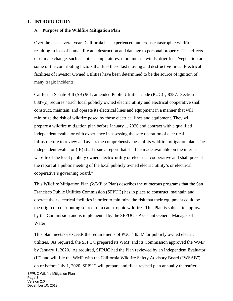#### <span id="page-5-1"></span><span id="page-5-0"></span>**1. INTRODUCTION**

#### A. **Purpose of the Wildfire Mitigation Plan**

Over the past several years California has experienced numerous catastrophic wildfires resulting in loss of human life and destruction and damage to personal property. The effects of climate change, such as hotter temperatures, more intense winds, drier fuels/vegetation are some of the contributing factors that fuel these fast moving and destructive fires. Electrical facilities of Investor Owned Utilities have been determined to be the source of ignition of many tragic incidents.

California Senate Bill (SB) 901, amended Public Utilities Code (PUC) § 8387. Section 8387(c) requires "Each local publicly owned electric utility and electrical cooperative shall construct, maintain, and operate its electrical lines and equipment in a manner that will minimize the risk of wildfire posed by those electrical lines and equipment. They will prepare a wildfire mitigation plan before January 1, 2020 and contract with a qualified independent evaluator with experience in assessing the safe operation of electrical infrastructure to review and assess the comprehensiveness of its wildfire mitigation plan. The independent evaluator (IE) shall issue a report that shall be made available on the internet website of the local publicly owned electric utility or electrical cooperative and shall present the report at a public meeting of the local publicly owned electric utility's or electrical cooperative's governing board."

This Wildfire Mitigation Plan (WMP or Plan) describes the numerous programs that the San Francisco Public Utilities Commission (SFPUC) has in place to construct, maintain and operate their electrical facilities in order to minimize the risk that their equipment could be the origin or contributing source for a catastrophic wildfire. This Plan is subject to approval by the Commission and is implemented by the SFPUC's Assistant General Manager of Water.

This plan meets or exceeds the requirements of PUC § 8387 for publicly owned electric utilities. As required, the SFPUC prepared its WMP and its Commission approved the WMP by January 1, 2020. As required, SFPUC had the Plan reviewed by an Independent Evaluator (IE) and will file the WMP with the California Wildfire Safety Advisory Board ("WSAB") on or before July 1, 2020. SFPUC will prepare and file a revised plan annually thereafter.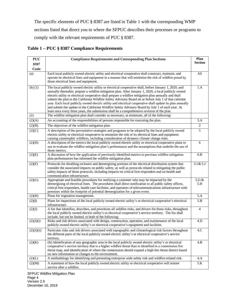The specific elements of PUC § 8387 are listed in Table 1 with the corresponding WMP sections listed that direct you to where the SFPUC describes their processes or programs to comply with the relevant requirements of PUC § 8387.

# **Table 1 – PUC § 8387 Compliance Requirements**

| <b>PUC</b>  | <b>Compliance Requirements and Corresponding Plan Sections</b>                                                                                                                                                                                                                                                                                                                                                                                                                                                                                                                                                                                                                                                                                        | Plan<br><b>Section</b>   |
|-------------|-------------------------------------------------------------------------------------------------------------------------------------------------------------------------------------------------------------------------------------------------------------------------------------------------------------------------------------------------------------------------------------------------------------------------------------------------------------------------------------------------------------------------------------------------------------------------------------------------------------------------------------------------------------------------------------------------------------------------------------------------------|--------------------------|
| 8387        |                                                                                                                                                                                                                                                                                                                                                                                                                                                                                                                                                                                                                                                                                                                                                       |                          |
| Code        |                                                                                                                                                                                                                                                                                                                                                                                                                                                                                                                                                                                                                                                                                                                                                       |                          |
| (a)         | Each local publicly owned electric utility and electrical cooperative shall construct, maintain, and<br>operate its electrical lines and equipment in a manner that will minimize the risk of wildfire posed by<br>those electrical lines and equipment.                                                                                                                                                                                                                                                                                                                                                                                                                                                                                              | All                      |
| $(b)$ $(1)$ | The local publicly owned electric utility or electrical cooperative shall, before January 1, 2020, and<br>annually thereafter, prepare a wildfire mitigation plan. After January 1, 2020, a local publicly owned<br>electric utility or electrical cooperative shall prepare a wildfire mitigation plan annually and shall<br>submit the plan to the California Wildfire Safety Advisory Board on or before July 1 of that calendar<br>year. Each local publicly owned electric utility and electrical cooperative shall update its plan annually<br>and submit the update to the California Wildfire Safety Advisory Board by July 1 of each year. At<br>least once every three years, the submission shall be a comprehensive revision of the plan. | 1.A                      |
| (2)         | The wildfire mitigation plan shall consider as necessary, at minimum, all of the following:                                                                                                                                                                                                                                                                                                                                                                                                                                                                                                                                                                                                                                                           |                          |
| (2)(A)      | An accounting of the responsibilities of persons responsible for executing the plan.                                                                                                                                                                                                                                                                                                                                                                                                                                                                                                                                                                                                                                                                  | 3.A                      |
| (2)(B)      | The objectives of the wildfire mitigation plan.                                                                                                                                                                                                                                                                                                                                                                                                                                                                                                                                                                                                                                                                                                       | 2                        |
| (2)(C)      | A description of the preventative strategies and programs to be adopted by the local publicly owned<br>electric utility or electrical cooperative to minimize the risk of its electrical lines and equipment<br>causing catastrophic wildfires, including consideration of dynamic climate change risks.                                                                                                                                                                                                                                                                                                                                                                                                                                              | 5                        |
| (2)(D)      | A description of the metrics the local publicly owned electric utility or electrical cooperative plans to<br>use to evaluate the wildfire mitigation plan's performance and the assumptions that underlie the use of<br>those metrics.                                                                                                                                                                                                                                                                                                                                                                                                                                                                                                                | 6                        |
| (2)(E)      | A discussion of how the application of previously identified metrics to previous wildfire mitigation<br>plan performances has informed the wildfire mitigation plan.                                                                                                                                                                                                                                                                                                                                                                                                                                                                                                                                                                                  | $6.B$                    |
| (2)(F)      | Protocols for disabling reclosers and deenergizing portions of the electrical distribution system that<br>consider the associated impacts on public safety, as well as protocols related to mitigating the public<br>safety impacts of those protocols, including impacts on critical first responders and on health and<br>communication infrastructure.                                                                                                                                                                                                                                                                                                                                                                                             | 5.I & 5.J                |
| (2)(G)      | Appropriate and feasible procedures for notifying a customer who may be impacted by the<br>deenergizing of electrical lines. The procedures shall direct notification to all public safety offices,<br>critical first responders, health care facilities, and operators of telecommunications infrastructure with<br>premises within the footprint of potential deenergization for a given event.                                                                                                                                                                                                                                                                                                                                                     | $5.G &$<br>5.H           |
| (2)(H)      | Plans for vegetation management.                                                                                                                                                                                                                                                                                                                                                                                                                                                                                                                                                                                                                                                                                                                      | 5.A                      |
| (2)(I)      | Plans for inspections of the local publicly owned electric utility's or electrical cooperative's electrical<br>infrastructure.                                                                                                                                                                                                                                                                                                                                                                                                                                                                                                                                                                                                                        | 5.B                      |
| (2)(J)      | A list that identifies, describes, and prioritizes all wildfire risks, and drivers for those risks, throughout<br>the local publicly owned electric utility's or electrical cooperative's service territory. The list shall<br>include, but not be limited, to both of the following:                                                                                                                                                                                                                                                                                                                                                                                                                                                                 | $\overline{\mathcal{L}}$ |
| (2)(J)(i)   | Risks and risk drivers associated with design, construction, operation, and maintenance of the local<br>publicly owned electric utility's or electrical cooperative's equipment and facilities.                                                                                                                                                                                                                                                                                                                                                                                                                                                                                                                                                       | 4.D                      |
| (2)(J)(ii)  | Particular risks and risk drivers associated with topographic and climatological risk factors throughout<br>the different parts of the local publicly owned electric utility's or electrical cooperative's service<br>territory.                                                                                                                                                                                                                                                                                                                                                                                                                                                                                                                      | 4.C                      |
| (2)(K)      | (K) Identification of any geographic area in the local publicly owned electric utility's or electrical<br>cooperative's service territory that is a higher wildfire threat than is identified in a commission fire<br>threat map, and identification of where the commission should expand a high-fire threat district based<br>on new information or changes to the environment.                                                                                                                                                                                                                                                                                                                                                                     | 4.B                      |
| (2)(L)      | A methodology for identifying and presenting enterprise wide safety risk and wildfire-related risk.                                                                                                                                                                                                                                                                                                                                                                                                                                                                                                                                                                                                                                                   | 4.A                      |
| (2)(M)      | A statement of how the local publicly owned electric utility or electrical cooperative will restore<br>service after a wildfire.                                                                                                                                                                                                                                                                                                                                                                                                                                                                                                                                                                                                                      | 5.K                      |

SFPUC Wildfire Mitigation Plan Page 4 Version 2.0 December 10, 2019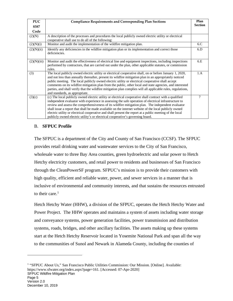| <b>PUC</b>  | <b>Compliance Requirements and Corresponding Plan Sections</b>                                                                                                                                                                                                                                                                                                                                                                                                                                                                                                                                                                | Plan           |
|-------------|-------------------------------------------------------------------------------------------------------------------------------------------------------------------------------------------------------------------------------------------------------------------------------------------------------------------------------------------------------------------------------------------------------------------------------------------------------------------------------------------------------------------------------------------------------------------------------------------------------------------------------|----------------|
| 8387        |                                                                                                                                                                                                                                                                                                                                                                                                                                                                                                                                                                                                                               | <b>Section</b> |
| Code        |                                                                                                                                                                                                                                                                                                                                                                                                                                                                                                                                                                                                                               |                |
| (2)(N)      | A description of the processes and procedures the local publicly owned electric utility or electrical<br>cooperative shall use to do all of the following:                                                                                                                                                                                                                                                                                                                                                                                                                                                                    |                |
| (2)(N)(i)   | Monitor and audit the implementation of the wildfire mitigation plan.                                                                                                                                                                                                                                                                                                                                                                                                                                                                                                                                                         | 6.C            |
| (2)(N)(ii)  | Identify any deficiencies in the wildfire mitigation plan or its implementation and correct those<br>deficiencies.                                                                                                                                                                                                                                                                                                                                                                                                                                                                                                            | 6.D            |
| (2)(N)(iii) | Monitor and audit the effectiveness of electrical line and equipment inspections, including inspections<br>performed by contractors, that are carried out under the plan, other applicable statutes, or commission<br>rules.                                                                                                                                                                                                                                                                                                                                                                                                  | 6.E            |
| (3)         | The local publicly owned electric utility or electrical cooperative shall, on or before January 1, 2020,<br>and not less than annually thereafter, present its wildfire mitigation plan in an appropriately noticed<br>public meeting. The local publicly owned electric utility or electrical cooperative shall accept<br>comments on its wildfire mitigation plan from the public, other local and state agencies, and interested<br>parties, and shall verify that the wildfire mitigation plan complies will all applicable rules, regulations,<br>and standards, as appropriate.                                         | 1.A            |
| (3)(c)      | (c) The local publicly owned electric utility or electrical cooperative shall contract with a qualified<br>independent evaluator with experience in assessing the safe operation of electrical infrastructure to<br>review and assess the comprehensiveness of its wildfire mitigation plan. The independent evaluator<br>shall issue a report that shall be made available on the internet website of the local publicly owned<br>electric utility or electrical cooperative and shall present the report at a public meeting of the local<br>publicly owned electric utility's or electrical cooperative's governing board. | 7              |

#### <span id="page-7-0"></span>B. **SFPUC Profile**

The SFPUC is a department of the City and County of San Francisco (CCSF). The SFPUC provides retail drinking water and wastewater services to the City of San Francisco, wholesale water to three Bay Area counties, green hydroelectric and solar power to Hetch Hetchy electricity customers, and retail power to residents and businesses of San Francisco through the CleanPowerSF program. SFPUC's mission is to provide their customers with high quality, efficient and reliable water, power, and sewer services in a manner that is inclusive of environmental and community interests, and that sustains the resources entrusted to their care. $<sup>1</sup>$  $<sup>1</sup>$  $<sup>1</sup>$ </sup>

Hetch Hetchy Water (HHW), a division of the SFPUC, operates the Hetch Hetchy Water and Power Project. The HHW operates and maintains a system of assets including water storage and conveyance systems, power generation facilities, power transmission and distribution systems, roads, bridges, and other ancillary facilities. The assets making up these systems start at the Hetch Hetchy Reservoir located in Yosemite National Park and span all the way to the communities of Sunol and Newark in Alameda County, including the counties of

<span id="page-7-1"></span>SFPUC Wildfire Mitigation Plan Page 5 Version 2.0 December 10, 2019 <sup>1</sup> "SFPUC About Us," San Francisco Public Utilities Commission: Our Mission. [Online]. Available: https://www.sfwater.org/index.aspx?page=161. [Accessed: 07-Apr-2020]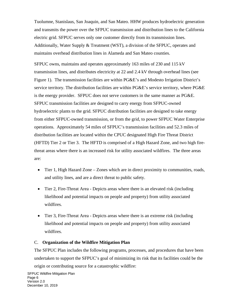Tuolumne, Stanislaus, San Joaquin, and San Mateo. HHW produces hydroelectric generation and transmits the power over the SFPUC transmission and distribution lines to the California electric grid. SFPUC serves only one customer directly from its transmission lines. Additionally, Water Supply & Treatment (WST), a division of the SFPUC, operates and maintains overhead distribution lines in Alameda and San Mateo counties.

SFPUC owns, maintains and operates approximately 163 miles of 230 and 115 kV transmission lines, and distributes electricity at 22 and 2.4 kV through overhead lines (see Figure 1). The transmission facilities are within PG&E's and Modesto Irrigation District's service territory. The distribution facilities are within PG&E's service territory, where PG&E is the energy provider. SFPUC does not serve customers in the same manner as PG&E. SFPUC transmission facilities are designed to carry energy from SFPUC-owned hydroelectric plants to the grid. SFPUC distribution facilities are designed to take energy from either SFPUC-owned transmission, or from the grid, to power SFPUC Water Enterprise operations. Approximately 54 miles of SFPUC's transmission facilities and 52.3 miles of distribution facilities are located within the CPUC designated High Fire Threat District (HFTD) Tier 2 or Tier 3. The HFTD is comprised of a High Hazard Zone, and two high firethreat areas where there is an increased risk for utility associated wildfires. The three areas are:

- Tier 1, High Hazard Zone Zones which are in direct proximity to communities, roads, and utility lines, and are a direct threat to public safety.
- Tier 2, Fire-Threat Area Depicts areas where there is an elevated risk (including likelihood and potential impacts on people and property) from utility associated wildfires.
- Tier 3, Fire-Threat Area Depicts areas where there is an extreme risk (including likelihood and potential impacts on people and property) from utility associated wildfires.

#### <span id="page-8-0"></span>C. **Organization of the Wildfire Mitigation Plan**

The SFPUC Plan includes the following programs, processes, and procedures that have been undertaken to support the SFPUC's goal of minimizing its risk that its facilities could be the origin or contributing source for a catastrophic wildfire: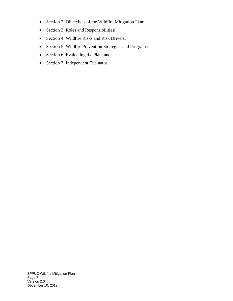- Section 2: Objectives of the Wildfire Mitigation Plan;
- Section 3: Roles and Responsibilities;
- Section 4: Wildfire Risks and Risk Drivers;
- Section 5: Wildfire Prevention Strategies and Programs;
- Section 6: Evaluating the Plan; and
- Section 7: Independent Evaluator.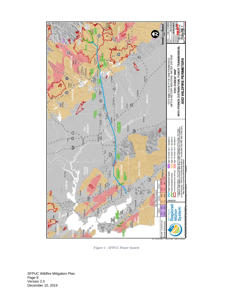

*Figure 1 - SFPUC Power System*

SFPUC Wildfire Mitigation Plan Page 8 Version 2.0 December 10, 2019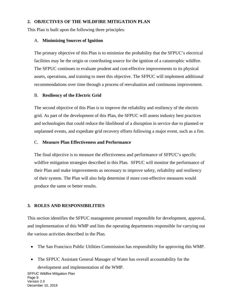#### <span id="page-11-0"></span>**2. OBJECTIVES OF THE WILDFIRE MITIGATION PLAN**

This Plan is built upon the following three principles:

#### <span id="page-11-1"></span>A. **Minimizing Sources of Ignition**

The primary objective of this Plan is to minimize the probability that the SFPUC's electrical facilities may be the origin or contributing source for the ignition of a catastrophic wildfire. The SFPUC continues to evaluate prudent and cost-effective improvements to its physical assets, operations, and training to meet this objective. The SFPUC will implement additional recommendations over time through a process of reevaluation and continuous improvement.

#### <span id="page-11-2"></span>B. **Resiliency of the Electric Grid**

The second objective of this Plan is to improve the reliability and resiliency of the electric grid. As part of the development of this Plan, the SFPUC will assess industry best practices and technologies that could reduce the likelihood of a disruption in service due to planned or unplanned events, and expediate grid recovery efforts following a major event, such as a fire.

#### <span id="page-11-3"></span>C. **Measure Plan Effectiveness and Performance**

The final objective is to measure the effectiveness and performance of SFPUC's specific wildfire mitigation strategies described in this Plan. SFPUC will monitor the performance of their Plan and make improvements as necessary to improve safety, reliability and resiliency of their system. The Plan will also help determine if more cost-effective measures would produce the same or better results.

#### <span id="page-11-4"></span>**3. ROLES AND RESPONSIBILITIES**

This section identifies the SFPUC management personnel responsible for development, approval, and implementation of this WMP and lists the operating departments responsible for carrying out the various activities described in the Plan.

- The San Francisco Public Utilities Commission has responsibility for approving this WMP.
- The SFPUC Assistant General Manager of Water has overall accountability for the development and implementation of the WMP.

SFPUC Wildfire Mitigation Plan Page 9 Version 2.0 December 10, 2019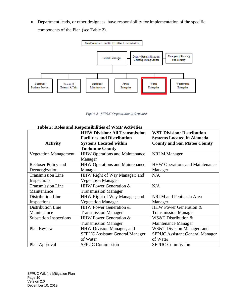• Department leads, or other designees, have responsibility for implementation of the specific components of the Plan (see Table 2).



*Figure 2 - SFPUC Organizational Structure*

#### **Table 2: Roles and Responsibilities of WMP Activities**

|                               | <b>HHW Division: All Transmission</b>  | <b>WST Division: Distribution</b>      |
|-------------------------------|----------------------------------------|----------------------------------------|
|                               | <b>Facilities and Distribution</b>     | <b>Systems Located in Alameda</b>      |
| <b>Activity</b>               | <b>Systems Located within</b>          | <b>County and San Mateo County</b>     |
|                               | <b>Tuolumne County</b>                 |                                        |
| <b>Vegetation Management</b>  | <b>HHW Operations and Maintenance</b>  | <b>NRLM</b> Manager                    |
|                               | Manager                                |                                        |
| Recloser Policy and           | <b>HHW Operations and Maintenance</b>  | <b>HHW Operations and Maintenance</b>  |
| Deenergization                | Manager                                | Manager                                |
| <b>Transmission Line</b>      | HHW Right of Way Manager; and          | N/A                                    |
| Inspections                   | <b>Vegetation Manager</b>              |                                        |
| <b>Transmission Line</b>      | <b>HHW Power Generation &amp;</b>      | N/A                                    |
| Maintenance                   | <b>Transmission Manager</b>            |                                        |
| Distribution Line             | HHW Right of Way Manager; and          | NRLM and Peninsula Area                |
| Inspections                   | <b>Vegetation Manager</b>              | Manager                                |
| Distribution Line             | HHW Power Generation &                 | HHW Power Generation &                 |
| Maintenance                   | <b>Transmission Manager</b>            | <b>Transmission Manager</b>            |
| <b>Substation Inspections</b> | HHW Power Generation &                 | WS&T Distribution &                    |
|                               | <b>Transmission Manager</b>            | Maintenance Manager                    |
| Plan Review                   | HHW Division Manager; and              | WS&T Division Manager; and             |
|                               | <b>SFPUC Assistant General Manager</b> | <b>SFPUC Assistant General Manager</b> |
|                               | of Water                               | of Water                               |
| Plan Approval                 | <b>SFPUC Commission</b>                | <b>SFPUC Commission</b>                |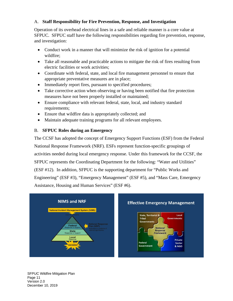# <span id="page-13-0"></span>A. **Staff Responsibility for Fire Prevention, Response, and Investigation**

Operation of its overhead electrical lines in a safe and reliable manner is a core value at SFPUC. SFPUC staff have the following responsibilities regarding fire prevention, response, and investigation:

- Conduct work in a manner that will minimize the risk of ignition for a potential wildfire;
- Take all reasonable and practicable actions to mitigate the risk of fires resulting from electric facilities or work activities;
- Coordinate with federal, state, and local fire management personnel to ensure that appropriate preventative measures are in place;
- Immediately report fires, pursuant to specified procedures;
- Take corrective action when observing or having been notified that fire protection measures have not been properly installed or maintained;
- Ensure compliance with relevant federal, state, local, and industry standard requirements;
- Ensure that wildfire data is appropriately collected; and
- Maintain adequate training programs for all relevant employees.

# <span id="page-13-1"></span>B. **SFPUC Roles during an Emergency**

The CCSF has adopted the concept of Emergency Support Functions (ESF) from the Federal National Response Framework (NRF). ESFs represent function-specific groupings of activities needed during local emergency response. Under this framework for the CCSF, the SFPUC represents the Coordinating Department for the following: "Water and Utilities" (ESF #12). In addition, SFPUC is the supporting department for "Public Works and Engineering" (ESF #3), "Emergency Management" (ESF #5), and "Mass Care, Emergency Assistance, Housing and Human Services" (ESF #6).



SFPUC Wildfire Mitigation Plan Page 11 Version 2.0 December 10, 2019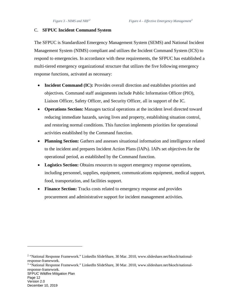#### <span id="page-14-0"></span>C. **SFPUC Incident Command System**

The SFPUC is Standardized Emergency Management System (SEMS) and National Incident Management System (NIMS) compliant and utilizes the Incident Command System (ICS) to respond to emergencies. In accordance with these requirements, the SFPUC has established a multi-tiered emergency organizational structure that utilizes the five following emergency response functions, activated as necessary:

- **Incident Command (IC):** Provides overall direction and establishes priorities and objectives. Command staff assignments include Public Information Officer (PIO), Liaison Officer, Safety Officer, and Security Officer, all in support of the IC.
- **Operations Section:** Manages tactical operations at the incident level directed toward reducing immediate hazards, saving lives and property, establishing situation control, and restoring normal conditions. This function implements priorities for operational activities established by the Command function.
- **Planning Section:** Gathers and assesses situational information and intelligence related to the incident and prepares Incident Action Plans (IAPs). IAPs set objectives for the operational period, as established by the Command function.
- **Logistics Section:** Obtains resources to support emergency response operations, including personnel, supplies, equipment, communications equipment, medical support, food, transportation, and facilities support.
- **Finance Section:** Tracks costs related to emergency response and provides procurement and administrative support for incident management activities.

<span id="page-14-2"></span>SFPUC Wildfire Mitigation Plan Page 12 Version 2.0 December 10, 2019 <sup>3</sup> "National Response Framework." LinkedIn SlideShare, 30 Mar. 2010, www.slideshare.net/bkoch/nationalresponse-framework.

<span id="page-14-1"></span><sup>2</sup> "National Response Framework." LinkedIn SlideShare, 30 Mar. 2010, www.slideshare.net/bkoch/nationalresponse-framework.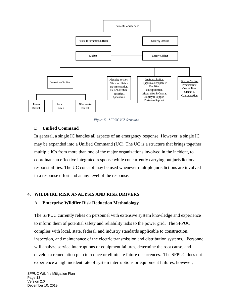

*Figure 5 - SFPUC ICS Structure*

#### <span id="page-15-0"></span>D. **Unified Command**

In general, a single IC handles all aspects of an emergency response. However, a single IC may be expanded into a Unified Command (UC). The UC is a structure that brings together multiple ICs from more than one of the major organizations involved in the incident, to coordinate an effective integrated response while concurrently carrying out jurisdictional responsibilities. The UC concept may be used whenever multiple jurisdictions are involved in a response effort and at any level of the response.

#### <span id="page-15-2"></span><span id="page-15-1"></span>**4. WILDFIRE RISK ANALYSIS AND RISK DRIVERS**

#### A. **Enterprise Wildfire Risk Reduction Methodology**

The SFPUC currently relies on personnel with extensive system knowledge and experience to inform them of potential safety and reliability risks to the power grid. The SFPUC complies with local, state, federal, and industry standards applicable to construction, inspection, and maintenance of the electric transmission and distribution systems. Personnel will analyze service interruptions or equipment failures, determine the root cause, and develop a remediation plan to reduce or eliminate future occurrences. The SFPUC does not experience a high incident rate of system interruptions or equipment failures, however,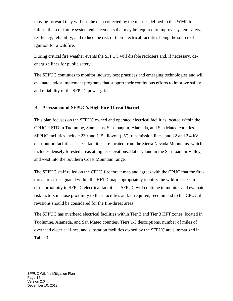moving forward they will use the data collected by the metrics defined in this WMP to inform them of future system enhancements that may be required to improve system safety, resiliency, reliability, and reduce the risk of their electrical facilities being the source of ignition for a wildfire.

During critical fire weather events the SFPUC will disable reclosers and, if necessary, deenergize lines for public safety.

The SFPUC continues to monitor industry best practices and emerging technologies and will evaluate and/or implement programs that support their continuous efforts to improve safety and reliability of the SFPUC power grid.

# <span id="page-16-0"></span>B. **Assessment of SFPUC's High Fire Threat District**

This plan focuses on the SFPUC owned and operated electrical facilities located within the CPUC HFTD in Tuolumne, Stanislaus, San Joaquin, Alameda, and San Mateo counties. SFPUC facilities include 230 and 115 kilovolt (kV) transmission lines, and 22 and 2.4 kV distribution facilities. These facilities are located from the Sierra Nevada Mountains, which includes densely forested areas at higher elevations, flat dry land in the San Joaquin Valley, and west into the Southern Coast Mountain range.

The SFPUC staff relied on the CPUC fire threat map and agrees with the CPUC that the firethreat areas designated within the HFTD map appropriately identify the wildfire risks in close proximity to SFPUC electrical facilities. SFPUC will continue to monitor and evaluate risk factors in close proximity to their facilities and, if required, recommend to the CPUC if revisions should be considered for the fire-threat areas.

The SFPUC has overhead electrical facilities within Tier 2 and Tier 3 HFT zones, located in Tuolumne, Alameda, and San Mateo counties. Tiers 1-3 descriptions, number of miles of overhead electrical lines, and substation facilities owned by the SFPUC are summarized in Table 3.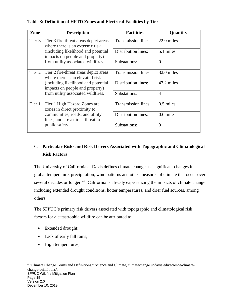|  | Table 3: Definition of HFTD Zones and Electrical Facilities by Tier |  |  |
|--|---------------------------------------------------------------------|--|--|
|  |                                                                     |  |  |

| Zone   | <b>Description</b>                                                                                            | <b>Facilities</b>          | Quantity       |
|--------|---------------------------------------------------------------------------------------------------------------|----------------------------|----------------|
| Tier 3 | Tier 3 fire-threat areas depict areas<br>where there is an <b>extreme</b> risk                                | <b>Transmission lines:</b> | 22.0 miles     |
|        | (including likelihood and potential)<br>impacts on people and property)<br>from utility associated wildfires. | Distribution lines:        | 5.1 miles      |
|        |                                                                                                               | Substations:               | $\theta$       |
| Tier 2 | Tier 2 fire-threat areas depict areas<br>where there is an <b>elevated</b> risk                               | <b>Transmission lines:</b> | 32.0 miles     |
|        | (including likelihood and potential<br>impacts on people and property)                                        | <b>Distribution lines:</b> | 47.2 miles     |
|        | from utility associated wildfires.                                                                            | Substations:               | $\overline{4}$ |
| Tier 1 | Tier 1 High Hazard Zones are<br>zones in direct proximity to                                                  | Transmission lines:        | $0.5$ miles    |
|        | communities, roads, and utility<br>lines, and are a direct threat to                                          | <b>Distribution lines:</b> | $0.0$ miles    |
|        | public safety.                                                                                                | Substations:               | $\overline{0}$ |

# <span id="page-17-0"></span>C. **Particular Risks and Risk Drivers Associated with Topographic and Climatological Risk Factors**

The University of California at Davis defines climate change as "significant changes in global temperature, precipitation, wind patterns and other measures of climate that occur over several decades or longer."<sup>[4](#page-17-1)</sup> California is already experiencing the impacts of climate change including extended drought conditions, hotter temperatures, and drier fuel sources, among others.

The SFPUC's primary risk drivers associated with topographic and climatological risk factors for a catastrophic wildfire can be attributed to:

- Extended drought;
- Lack of early fall rains;
- High temperatures;

<span id="page-17-1"></span>SFPUC Wildfire Mitigation Plan Page 15 Version 2.0 December 10, 2019 <sup>4</sup> "Climate Change Terms and Definitions." Science and Climate, climatechange.ucdavis.edu/science/climatechange-definitions/.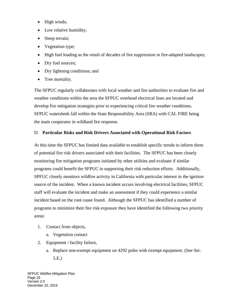- High winds;
- Low relative humidity;
- Steep terrain;
- Vegetation type;
- High fuel loading as the result of decades of fire suppression in fire-adapted landscapes;
- Dry fuel sources;
- Dry lightning conditions; and
- Tree mortality.

The SFPUC regularly collaborates with local weather and fire authorities to evaluate fire and weather conditions within the area the SFPUC overhead electrical lines are located and develop fire mitigation strategies prior to experiencing critical fire weather conditions. SFPUC watersheds fall within the State Responsibility Area (SRA) with CAL FIRE being the main cooperator in wildland fire response.

# <span id="page-18-0"></span>D. **Particular Risks and Risk Drivers Associated with Operational Risk Factors**

At this time the SFPUC has limited data available to establish specific trends to inform them of potential fire risk drivers associated with their facilities. The SFPUC has been closely monitoring fire mitigation programs initiated by other utilities and evaluate if similar programs could benefit the SFPUC in supporting their risk reduction efforts. Additionally, SPFUC closely monitors wildfire activity in California with particular interest in the ignition source of the incident. When a known incident occurs involving electrical facilities, SFPUC staff will evaluate the incident and make an assessment if they could experience a similar incident based on the root cause found. Although the SFPUC has identified a number of programs to minimize their fire risk exposure they have identified the following two priority areas:

- 1. Contact from objects,
	- a. Vegetation contact
- 2. Equipment / facility failure,
	- a. Replace non-exempt equipment on 4292 poles with exempt equipment. (See Sec. 5.E.)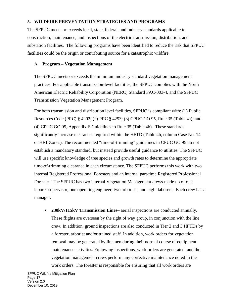#### <span id="page-19-0"></span>**5. WILDFIRE PREVENTATION STRATEGIES AND PROGRAMS**

The SFPUC meets or exceeds local, state, federal, and industry standards applicable to construction, maintenance, and inspections of the electric transmission, distribution, and substation facilities. The following programs have been identified to reduce the risk that SFPUC facilities could be the origin or contributing source for a catastrophic wildfire.

#### <span id="page-19-1"></span>A. **Program – Vegetation Management**

The SFPUC meets or exceeds the minimum industry standard vegetation management practices. For applicable transmission-level facilities, the SFPUC complies with the North American Electric Reliability Corporation (NERC) Standard FAC-003-4, and the SFPUC Transmission Vegetation Management Program.

For both transmission and distribution level facilities, SFPUC is compliant with: (1) Public Resources Code (PRC) § 4292; (2) PRC § 4293; (3) CPUC GO 95, Rule 35 (Table 4a); and (4) CPUC GO 95, Appendix E Guidelines to Rule 35 (Table 4b). These standards significantly increase clearances required within the HFTD (Table 4b, column Case No. 14 or HFT Zones). The recommended "time-of-trimming" guidelines in CPUC GO 95 do not establish a mandatory standard, but instead provide useful guidance to utilities. The SFPUC will use specific knowledge of tree species and growth rates to determine the appropriate time-of-trimming clearance in each circumstance. The SFPUC performs this work with two internal Registered Professional Foresters and an internal part-time Registered Professional Forester. The SFPUC has two internal Vegetation Management crews made up of one laborer supervisor, one operating engineer, two arborists, and eight laborers. Each crew has a manager.

• **230kV/115kV Transmission Lines–** aerial inspections are conducted annually. These flights are overseen by the right of way group, in conjunction with the line crew. In addition, ground inspections are also conducted in Tier 2 and 3 HFTDs by a forester, arborist and/or trained staff. In addition, work orders for vegetation removal may be generated by linemen during their normal course of equipment maintenance activities. Following inspections, work orders are generated, and the vegetation management crews perform any corrective maintenance noted in the work orders. The forester is responsible for ensuring that all work orders are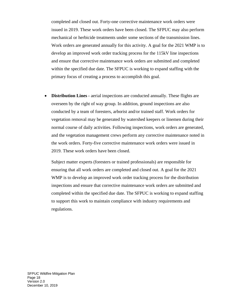completed and closed out. Forty-one corrective maintenance work orders were issued in 2019. These work orders have been closed. The SFPUC may also perform mechanical or herbicide treatments under some sections of the transmission lines. Work orders are generated annually for this activity. A goal for the 2021 WMP is to develop an improved work order tracking process for the 115kV line inspections and ensure that corrective maintenance work orders are submitted and completed within the specified due date. The SFPUC is working to expand staffing with the primary focus of creating a process to accomplish this goal.

• **Distribution Lines -** aerial inspections are conducted annually. These flights are overseen by the right of way group. In addition, ground inspections are also conducted by a team of foresters, arborist and/or trained staff. Work orders for vegetation removal may be generated by watershed keepers or linemen during their normal course of daily activities. Following inspections, work orders are generated, and the vegetation management crews perform any corrective maintenance noted in the work orders. Forty-five corrective maintenance work orders were issued in 2019. These work orders have been closed.

Subject matter experts (foresters or trained professionals) are responsible for ensuring that all work orders are completed and closed out. A goal for the 2021 WMP is to develop an improved work order tracking process for the distribution inspections and ensure that corrective maintenance work orders are submitted and completed within the specified due date. The SFPUC is working to expand staffing to support this work to maintain compliance with industry requirements and regulations.

SFPUC Wildfire Mitigation Plan Page 18 Version 2.0 December 10, 2019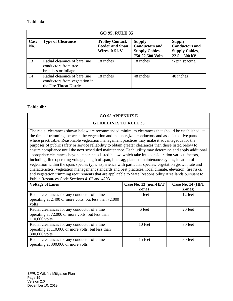#### **Table 4a:**

|                 | <b>GO 95, RULE 35</b>                                                                      |                                                                    |                                                                                     |                                                                                    |  |  |  |
|-----------------|--------------------------------------------------------------------------------------------|--------------------------------------------------------------------|-------------------------------------------------------------------------------------|------------------------------------------------------------------------------------|--|--|--|
| Case<br>No.     | <b>Type of Clearance</b>                                                                   | <b>Trolley Contact,</b><br><b>Feeder and Span</b><br>Wires, 0-5 kV | <b>Supply</b><br><b>Conductors and</b><br><b>Supply Cables,</b><br>750-22,500 Volts | <b>Supply</b><br><b>Conductors and</b><br><b>Supply Cables,</b><br>$22.5 - 300$ kV |  |  |  |
| $\overline{13}$ | Radial clearance of bare line<br>conductors from tree<br>branches or foliage               | 18 inches                                                          | 18 inches                                                                           | $\frac{1}{4}$ pin spacing                                                          |  |  |  |
| <sup>14</sup>   | Radial clearance of bare line<br>conductors from vegetation in<br>the Fire-Threat District | 18 inches                                                          | 48 inches                                                                           | 48 inches                                                                          |  |  |  |

#### **Table 4b:**

# **GO 95 APPENDIX E**

# **GUIDELINES TO RULE 35**

The radial clearances shown below are recommended minimum clearances that should be established, at the time of trimming, between the vegetation and the energized conductors and associated live parts where practicable. Reasonable vegetation management practices may make it advantageous for the purposes of public safety or service reliability to obtain greater clearances than those listed below to ensure compliance until the next scheduled maintenance. Each utility may determine and apply additional appropriate clearances beyond clearances listed below, which take into consideration various factors, including: line operating voltage, length of span, line sag, planned maintenance cycles, location of vegetation within the span, species type, experience with particular species, vegetation growth rate and characteristics, vegetation management standards and best practices, local climate, elevation, fire risks, and vegetation trimming requirements that are applicable to State Responsibility Area lands pursuant to Public Resources Code Sections 4102 and 4293.

| <b>Voltage of Lines</b>                                                                                             | Case No. 13 (non-HFT<br>Zones) | Case No. 14 (HFT<br>Zones) |
|---------------------------------------------------------------------------------------------------------------------|--------------------------------|----------------------------|
| Radial clearances for any conductor of a line<br>operating at 2,400 or more volts, but less than 72,000<br>volts    | 4 feet                         | 12 feet                    |
| Radial clearances for any conductor of a line<br>operating at 72,000 or more volts, but less than<br>110,000 volts  | 6 feet                         | 20 feet                    |
| Radial clearances for any conductor of a line<br>operating at 110,000 or more volts, but less than<br>300,000 volts | 10 feet                        | 30 feet                    |
| Radial clearances for any conductor of a line<br>operating at 300,000 or more volts                                 | 15 feet                        | 30 feet                    |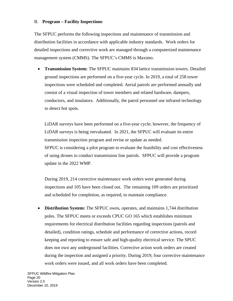#### <span id="page-22-0"></span>B. **Program – Facility Inspections**

The SFPUC performs the following inspections and maintenance of transmission and distribution facilities in accordance with applicable industry standards. Work orders for detailed inspections and corrective work are managed through a computerized maintenance management system (CMMS). The SFPUC's CMMS is Maximo.

• **Transmission System:** The SFPUC maintains 834 lattice transmission towers. Detailed ground inspections are performed on a five-year cycle. In 2019, a total of 258 tower inspections were scheduled and completed. Aerial patrols are performed annually and consist of a visual inspection of tower members and related hardware, dampers, conductors, and insulators. Additionally, the patrol personnel use infrared technology to detect hot spots.

LiDAR surveys have been performed on a five-year cycle; however, the frequency of LiDAR surveys is being reevaluated. In 2021, the SFPUC will evaluate its entire transmission inspection program and revise or update as needed. SFPUC is considering a pilot program to evaluate the feasibility and cost effectiveness of using drones to conduct transmission line patrols. SFPUC will provide a program update in the 2022 WMP.

During 2019, 214 corrective maintenance work orders were generated during inspections and 105 have been closed out. The remaining 109 orders are prioritized and scheduled for completion, as required, to maintain compliance.

• **Distribution System:** The SFPUC owns, operates, and maintains 1,744 distribution poles. The SFPUC meets or exceeds CPUC GO 165 which establishes minimum requirements for electrical distribution facilities regarding inspections (patrols and detailed), condition ratings, schedule and performance of corrective actions, record keeping and reporting to ensure safe and high-quality electrical service. The SPUC does not own any underground facilities. Corrective action work orders are created during the inspection and assigned a priority. During 2019, four corrective maintenance work orders were issued, and all work orders have been completed.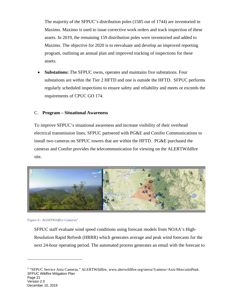The majority of the SFPUC's distribution poles (1585 out of 1744) are inventoried in Maximo. Maximo is used to issue corrective work orders and track inspection of these assets. In 2019, the remaining 159 distribution poles were inventoried and added to Maximo. The objective for 2020 is to reevaluate and develop an improved reporting program, outlining an annual plan and improved tracking of inspections for these assets.

• **Substations:** The SFPUC owns, operates and maintains five substations. Four substations are within the Tier 2 HFTD and one is outside the HFTD. SFPUC performs regularly scheduled inspections to ensure safety and reliability and meets or exceeds the requirements of CPUC GO 174.

#### <span id="page-23-0"></span>C. **Program – Situational Awareness**

To improve SFPUC's situational awareness and increase visibility of their overhead electrical transmission lines, SFPUC partnered with PG&E and Conifer Communications to install two cameras on SFPUC towers that are within the HFTD. PG&E purchased the cameras and Conifer provides the telecommunication for viewing on the ALERTWildfire site.





SFPUC staff evaluate wind speed conditions using forecast models from NOAA's High-Resolution Rapid Refresh (HRRR) which generates average and peak wind forecasts for the next 24-hour operating period. The automated process generates an email with the forecast to

<span id="page-23-1"></span>SFPUC Wildfire Mitigation Plan Page 21 Version 2.0 December 10, 2019 <sup>5</sup> "SFPUC Service Area Cameras." ALERTWildfire, www.alertwildfire.org/sierra/?camera=Axis-MoccasinPeak.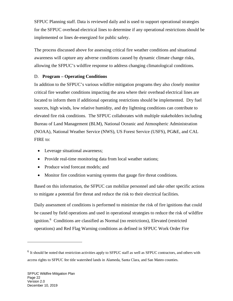SFPUC Planning staff. Data is reviewed daily and is used to support operational strategies for the SFPUC overhead electrical lines to determine if any operational restrictions should be implemented or lines de-energized for public safety.

The process discussed above for assessing critical fire weather conditions and situational awareness will capture any adverse conditions caused by dynamic climate change risks, allowing the SFPUC's wildfire response to address changing climatological conditions.

# <span id="page-24-0"></span>D. **Program – Operating Conditions**

In addition to the SFPUC's various wildfire mitigation programs they also closely monitor critical fire weather conditions impacting the area where their overhead electrical lines are located to inform them if additional operating restrictions should be implemented. Dry fuel sources, high winds, low relative humidity, and dry lightning conditions can contribute to elevated fire risk conditions. The SFPUC collaborates with multiple stakeholders including Bureau of Land Management (BLM), National Oceanic and Atmospheric Administration (NOAA), National Weather Service (NWS), US Forest Service (USFS), PG&E, and CAL FIRE to:

- Leverage situational awareness;
- Provide real-time monitoring data from local weather stations;
- Produce wind forecast models; and
- Monitor fire condition warning systems that gauge fire threat conditions.

Based on this information, the SFPUC can mobilize personnel and take other specific actions to mitigate a potential fire threat and reduce the risk to their electrical facilities.

Daily assessment of conditions is performed to minimize the risk of fire ignitions that could be caused by field operations and used in operational strategies to reduce the risk of wildfire ignition. [6](#page-24-1) Conditions are classified as Normal (no restrictions), Elevated (restricted operations) and Red Flag Warning conditions as defined in SFPUC Work Order Fire

<span id="page-24-1"></span><sup>&</sup>lt;sup>6</sup> It should be noted that restriction activities apply to SFPUC staff as well as SFPUC contractors, and others with access rights to SFPUC fee title watershed lands in Alameda, Santa Clara, and San Mateo counties.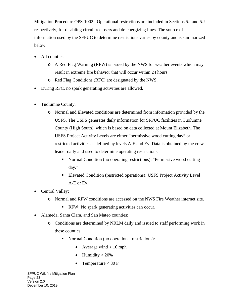Mitigation Procedure OPS-1002. Operational restrictions are included in Sections 5.I and 5.J respectively, for disabling circuit reclosers and de-energizing lines. The source of information used by the SFPUC to determine restrictions varies by county and is summarized below:

- All counties:
	- o A Red Flag Warning (RFW) is issued by the NWS for weather events which may result in extreme fire behavior that will occur within 24 hours.
	- o Red Flag Conditions (RFC) are designated by the NWS.
- During RFC, no spark generating activities are allowed.
- Tuolumne County:
	- o Normal and Elevated conditions are determined from information provided by the USFS. The USFS generates daily information for SFPUC facilities in Tuolumne County (High South), which is based on data collected at Mount Elizabeth. The USFS Project Activity Levels are either "permissive wood cutting day" or restricted activities as defined by levels A-E and Ev. Data is obtained by the crew leader daily and used to determine operating restrictions.
		- Normal Condition (no operating restrictions): "Permissive wood cutting day."
		- Elevated Condition (restricted operations): USFS Project Activity Level A-E or Ev.
- Central Valley:
	- o Normal and RFW conditions are accessed on the NWS Fire Weather internet site.
		- **RFW:** No spark generating activities can occur.
- Alameda, Santa Clara, and San Mateo counties:
	- o Conditions are determined by NRLM daily and issued to staff performing work in these counties.
		- Normal Condition (no operational restrictions):
			- Average wind  $< 10$  mph
			- Humidity  $> 20\%$
			- Temperature  $< 80 \text{ F}$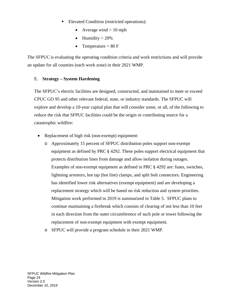- Elevated Condition (restricted operations):
	- Average wind  $> 10$  mph
	- Humidity  $< 20\%$
	- Temperature  $> 80 \text{ F}$

The SFPUC is evaluating the operating condition criteria and work restrictions and will provide an update for all counties (each work zone) in their 2021 WMP.

# <span id="page-26-0"></span>E. **Strategy – System Hardening**

The SFPUC's electric facilities are designed, constructed, and maintained to meet or exceed CPUC GO 95 and other relevant federal, state, or industry standards. The SFPUC will explore and develop a 10-year capital plan that will consider some, or all, of the following to reduce the risk that SFPUC facilities could be the origin or contributing source for a catastrophic wildfire:

- Replacement of high risk (non-exempt) equipment:
	- o Approximately 15 percent of SFPUC distribution poles support non-exempt equipment as defined by PRC § 4292. These poles support electrical equipment that protects distribution lines from damage and allow isolation during outages. Examples of non-exempt equipment as defined in PRC § 4292 are: fuses, switches, lightning arrestors, hot tap (hot line) clamps, and split bolt connectors. Engineering has identified lower risk alternatives (exempt equipment) and are developing a replacement strategy which will be based on risk reduction and system priorities. Mitigation work performed in 2019 is summarized in Table 5. SFPUC plans to continue maintaining a firebreak which consists of clearing of not less than 10 feet in each direction from the outer circumference of such pole or tower following the replacement of non-exempt equipment with exempt equipment.
	- o SFPUC will provide a program schedule in their 2021 WMP.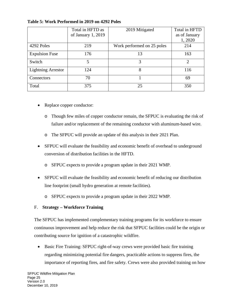|                           | Total in HFTD as   | 2019 Mitigated             | Total in HFTD           |
|---------------------------|--------------------|----------------------------|-------------------------|
|                           | of January 1, 2019 |                            | as of January<br>1,2020 |
| 4292 Poles                | 219                | Work performed on 25 poles | 214                     |
| <b>Expulsion Fuse</b>     | 176                | 13                         | 163                     |
| Switch                    | 5                  | 3                          | $\overline{2}$          |
| <b>Lightning Arrestor</b> | 124                | 8                          | 116                     |
| Connectors                | 70                 |                            | 69                      |
| Total                     | 375                | 25                         | 350                     |

# **Table 5: Work Performed in 2019 on 4292 Poles**

- Replace copper conductor:
	- o Though few miles of copper conductor remain, the SFPUC is evaluating the risk of failure and/or replacement of the remaining conductor with aluminum-based wire.
	- o The SFPUC will provide an update of this analysis in their 2021 Plan.
- SFPUC will evaluate the feasibility and economic benefit of overhead to underground conversion of distribution facilities in the HFTD.
	- o SFPUC expects to provide a program update in their 2021 WMP.
- SFPUC will evaluate the feasibility and economic benefit of reducing our distribution line footprint (small hydro generation at remote facilities).
	- o SFPUC expects to provide a program update in their 2022 WMP.

#### <span id="page-27-0"></span>F. **Strategy – Workforce Training**

The SFPUC has implemented complementary training programs for its workforce to ensure continuous improvement and help reduce the risk that SFPUC facilities could be the origin or contributing source for ignition of a catastrophic wildfire.

• Basic Fire Training: SFPUC right-of-way crews were provided basic fire training regarding minimizing potential fire dangers, practicable actions to suppress fires, the importance of reporting fires, and fire safety. Crews were also provided training on how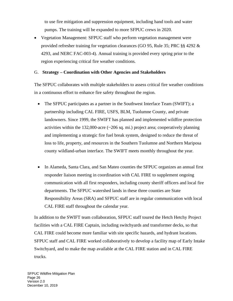to use fire mitigation and suppression equipment, including hand tools and water pumps. The training will be expanded to more SFPUC crews in 2020.

• Vegetation Management: SFPUC staff who perform vegetation management were provided refresher training for vegetation clearances (GO 95, Rule 35; PRC §§ 4292 & 4293, and NERC FAC-003-4). Annual training is provided every spring prior to the region experiencing critical fire weather conditions.

# <span id="page-28-0"></span>G. **Strategy – Coordination with Other Agencies and Stakeholders**

The SFPUC collaborates with multiple stakeholders to assess critical fire weather conditions in a continuous effort to enhance fire safety throughout the region.

- The SFPUC participates as a partner in the Southwest Interface Team (SWIFT); a partnership including CAL FIRE, USFS, BLM, Tuolumne County, and private landowners. Since 1999, the SWIFT has planned and implemented wildfire protection activities within the 132,000-acre (~206 sq. mi.) project area; cooperatively planning and implementing a strategic fire fuel break system, designed to reduce the threat of loss to life, property, and resources in the Southern Tuolumne and Northern Mariposa county wildland-urban interface. The SWIFT meets monthly throughout the year.
- In Alameda, Santa Clara, and San Mateo counties the SFPUC organizes an annual first responder liaison meeting in coordination with CAL FIRE to supplement ongoing communication with all first responders, including county sheriff officers and local fire departments. The SFPUC watershed lands in these three counties are State Responsibility Areas (SRA) and SFPUC staff are in regular communication with local CAL FIRE staff throughout the calendar year.

In addition to the SWIFT team collaboration, SFPUC staff toured the Hetch Hetchy Project facilities with a CAL FIRE Captain, including switchyards and transformer decks, so that CAL FIRE could become more familiar with site specific hazards, and hydrant locations. SFPUC staff and CAL FIRE worked collaboratively to develop a facility map of Early Intake Switchyard, and to make the map available at the CAL FIRE station and in CAL FIRE trucks.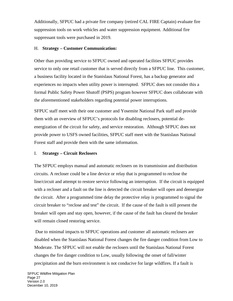Additionally, SFPUC had a private fire company (retired CAL FIRE Captain) evaluate fire suppression tools on work vehicles and water suppression equipment. Additional fire suppressant tools were purchased in 2019.

### <span id="page-29-0"></span>H. **Strategy – Customer Communication:**

Other than providing service to SFPUC owned and operated facilities SFPUC provides service to only one retail customer that is served directly from a SFPUC line. This customer, a business facility located in the Stanislaus National Forest, has a backup generator and experiences no impacts when utility power is interrupted. SFPUC does not consider this a formal Public Safety Power Shutoff (PSPS) program however SFPUC does collaborate with the aforementioned stakeholders regarding potential power interruptions.

SFPUC staff meet with their one customer and Yosemite National Park staff and provide them with an overview of SFPUC's protocols for disabling reclosers, potential deenergization of the circuit for safety, and service restoration. Although SFPUC does not provide power to USFS owned facilities, SFPUC staff meet with the Stanislaus National Forest staff and provide them with the same information.

# <span id="page-29-1"></span>I. **Strategy – Circuit Reclosers**

The SFPUC employs manual and automatic reclosers on its transmission and distribution circuits. A recloser could be a line device or relay that is programmed to reclose the line/circuit and attempt to restore service following an interruption. If the circuit is equipped with a recloser and a fault on the line is detected the circuit breaker will open and deenergize the circuit. After a programmed time delay the protective relay is programmed to signal the circuit breaker to "reclose and test" the circuit. If the cause of the fault is still present the breaker will open and stay open, however, if the cause of the fault has cleared the breaker will remain closed restoring service.

Due to minimal impacts to SFPUC operations and customer all automatic reclosers are disabled when the Stanislaus National Forest changes the fire danger condition from Low to Moderate. The SFPUC will not enable the reclosers until the Stanislaus National Forest changes the fire danger condition to Low, usually following the onset of fall/winter precipitation and the burn environment is not conducive for large wildfires. If a fault is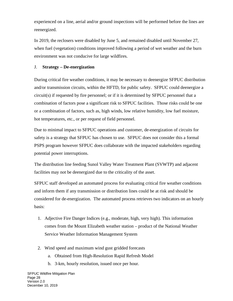experienced on a line, aerial and/or ground inspections will be performed before the lines are reenergized.

In 2019, the reclosers were disabled by June 5, and remained disabled until November 27, when fuel (vegetation) conditions improved following a period of wet weather and the burn environment was not conducive for large wildfires.

#### <span id="page-30-0"></span>J. **Strategy – De-energization**

During critical fire weather conditions, it may be necessary to deenergize SFPUC distribution and/or transmission circuits, within the HFTD, for public safety. SFPUC could deenergize a circuit(s) if requested by fire personnel; or if it is determined by SFPUC personnel that a combination of factors pose a significant risk to SFPUC facilities. Those risks could be one or a combination of factors, such as, high winds, low relative humidity, low fuel moisture, hot temperatures, etc., or per request of field personnel.

Due to minimal impact to SFPUC operations and customer, de-energization of circuits for safety is a strategy that SFPUC has chosen to use. SFPUC does not consider this a formal PSPS program however SFPUC does collaborate with the impacted stakeholders regarding potential power interruptions.

The distribution line feeding Sunol Valley Water Treatment Plant (SVWTP) and adjacent facilities may not be deenergized due to the criticality of the asset.

SFPUC staff developed an automated process for evaluating critical fire weather conditions and inform them if any transmission or distribution lines could be at risk and should be considered for de-energization. The automated process retrieves two indicators on an hourly basis:

- 1. Adjective Fire Danger Indices (e.g., moderate, high, very high). This information comes from the Mount Elizabeth weather station – product of the National Weather Service Weather Information Management System
- 2. Wind speed and maximum wind gust gridded forecasts
	- a. Obtained from High-Resolution Rapid Refresh Model
	- b. 3-km, hourly resolution, issued once per hour.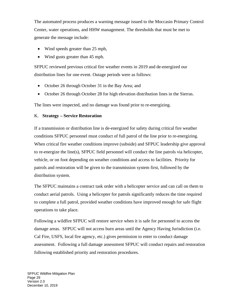The automated process produces a warning message issued to the Moccasin Primary Control Center, water operations, and HHW management. The thresholds that must be met to generate the message include:

- Wind speeds greater than 25 mph,
- Wind gusts greater than 45 mph.

SFPUC reviewed previous critical fire weather events in 2019 and de-energized our distribution lines for one event. Outage periods were as follows:

- October 26 through October 31 in the Bay Area; and
- October 26 through October 28 for high elevation distribution lines in the Sierras.

The lines were inspected, and no damage was found prior to re-energizing.

# <span id="page-31-0"></span>K. **Strategy – Service Restoration**

If a transmission or distribution line is de-energized for safety during critical fire weather conditions SFPUC personnel must conduct of full patrol of the line prior to re-energizing. When critical fire weather conditions improve (subside) and SFPUC leadership give approval to re-energize the line(s), SFPUC field personnel will conduct the line patrols via helicopter, vehicle, or on foot depending on weather conditions and access to facilities. Priority for patrols and restoration will be given to the transmission system first, followed by the distribution system.

The SFPUC maintains a contract task order with a helicopter service and can call on them to conduct aerial patrols. Using a helicopter for patrols significantly reduces the time required to complete a full patrol, provided weather conditions have improved enough for safe flight operations to take place.

Following a wildfire SFPUC will restore service when it is safe for personnel to access the damage areas. SFPUC will not access burn areas until the Agency Having Jurisdiction (i.e. Cal Fire, USFS, local fire agency, etc.) gives permission to enter to conduct damage assessment. Following a full damage assessment SFPUC will conduct repairs and restoration following established priority and restoration procedures.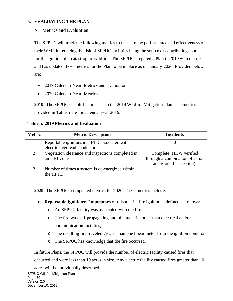#### <span id="page-32-1"></span><span id="page-32-0"></span>**6. EVALUATING THE PLAN**

#### A. **Metrics and Evaluation**

The SFPUC will track the following metrics to measure the performance and effectiveness of their WMP in reducing the risk of SFPUC facilities being the source or contributing source for the ignition of a catastrophic wildfire. The SFPUC prepared a Plan in 2019 with metrics and has updated those metrics for the Plan to be in place as of January 2020. Provided below are:

- 2019 Calendar Year: Metrics and Evaluation
- 2020 Calendar Year: Metrics

**2019:** The SFPUC established metrics in the 2019 Wildfire Mitigation Plan. The metrics provided in Table 5 are for calendar year 2019.

| <b>Metric</b> | <b>Metric Description</b>                                                     | <b>Incidents</b>                                                                     |
|---------------|-------------------------------------------------------------------------------|--------------------------------------------------------------------------------------|
|               | Reportable ignitions in HFTD associated with<br>electric overhead conductors. |                                                                                      |
| $\gamma$      | Vegetation clearance and inspections completed in<br>an HFT zone              | Complete (HHW verified<br>through a combination of aerial<br>and ground inspection). |
| 3             | Number of times a system is de-energized within<br>the HFTD                   |                                                                                      |

**Table 5: 2019 Metrics and Evaluation**

**2020:** The SFPUC has updated metrics for 2020. These metrics include:

- **Reportable Ignitions**: For purposes of this metric, fire ignition is defined as follows:
	- o An SFPUC facility was associated with the fire;
	- o The fire was self-propagating and of a material other than electrical and/or communication facilities;
	- o The resulting fire traveled greater than one linear meter from the ignition point; or
	- o The SFPUC has knowledge that the fire occurred.

In future Plans, the SFPUC will provide the number of electric facility caused fires that occurred and were less than 10 acres in size. Any electric facility caused fires greater than 10

acres will be individually described.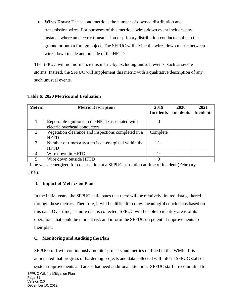• **Wires Down:** The second metric is the number of downed distribution and transmission wires. For purposes of this metric, a wires-down event includes any instance where an electric transmission or primary distribution conductor falls to the ground or onto a foreign object. The SFPUC will divide the wires down metric between wires down inside and outside of the HFTD.

The SFPUC will not normalize this metric by excluding unusual events, such as severe storms. Instead, the SFPUC will supplement this metric with a qualitative description of any such unusual events.

| <b>Metric</b> | <b>Metric Description</b>                                                        | 2019<br><b>Incidents</b> | 2020<br><b>Incidents</b> | 2021<br><b>Incidents</b> |
|---------------|----------------------------------------------------------------------------------|--------------------------|--------------------------|--------------------------|
|               | Reportable ignitions in the HFTD associated with<br>electric overhead conductors |                          |                          |                          |
| $\mathcal{D}$ | Vegetation clearance and inspections completed in a<br><b>HFTD</b>               | Complete                 |                          |                          |
| $\mathcal{R}$ | Number of times a system is de-energized within the<br><b>HFTD</b>               |                          |                          |                          |
| 4             | Wire down in HFTD                                                                | 1 <sup>1</sup>           |                          |                          |
|               | Wire down outside HFTD                                                           |                          |                          |                          |

#### **Table 6: 2020 Metrics and Evaluation**

<sup>1</sup> Line was deenergized for construction at a SFPUC substation at time of incident (February 2019).

#### <span id="page-33-0"></span>B. **Impact of Metrics on Plan**

In the initial years, the SFPUC anticipates that there will be relatively limited data gathered through these metrics. Therefore, it will be difficult to draw meaningful conclusions based on this data. Over time, as more data is collected, SFPUC will be able to identify areas of its operations that could be more at risk and inform the SFPUC on potential improvements to their plan.

# <span id="page-33-1"></span>C. **Monitoring and Auditing the Plan**

SFPUC staff will continuously monitor projects and metrics outlined in this WMP. It is anticipated that progress of hardening projects and data collected will inform SFPUC staff of

SFPUC Wildfire Mitigation Plan Page 31 system improvements and areas that need additional attention. SFPUC staff are committed to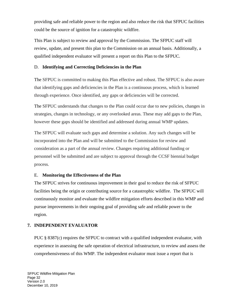providing safe and reliable power to the region and also reduce the risk that SFPUC facilities could be the source of ignition for a catastrophic wildfire.

This Plan is subject to review and approval by the Commission. The SFPUC staff will review, update, and present this plan to the Commission on an annual basis. Additionally, a qualified independent evaluator will present a report on this Plan to the SFPUC.

# <span id="page-34-0"></span>D. **Identifying and Correcting Deficiencies in the Plan**

The SFPUC is committed to making this Plan effective and robust. The SFPUC is also aware that identifying gaps and deficiencies in the Plan is a continuous process, which is learned through experience. Once identified, any gaps or deficiencies will be corrected.

The SFPUC understands that changes to the Plan could occur due to new policies, changes in strategies, changes in technology, or any overlooked areas. These may add gaps to the Plan, however these gaps should be identified and addressed during annual WMP updates.

The SFPUC will evaluate such gaps and determine a solution. Any such changes will be incorporated into the Plan and will be submitted to the Commission for review and consideration as a part of the annual review. Changes requiring additional funding or personnel will be submitted and are subject to approval through the CCSF biennial budget process.

# <span id="page-34-1"></span>E. **Monitoring the Effectiveness of the Plan**

The SFPUC strives for continuous improvement in their goal to reduce the risk of SFPUC facilities being the origin or contributing source for a catastrophic wildfire. The SFPUC will continuously monitor and evaluate the wildfire mitigation efforts described in this WMP and pursue improvements in their ongoing goal of providing safe and reliable power to the region.

# <span id="page-34-2"></span>**7. INDEPENDENT EVALUATOR**

PUC § 8387(c) requires the SFPUC to contract with a qualified independent evaluator, with experience in assessing the safe operation of electrical infrastructure, to review and assess the comprehensiveness of this WMP. The independent evaluator must issue a report that is